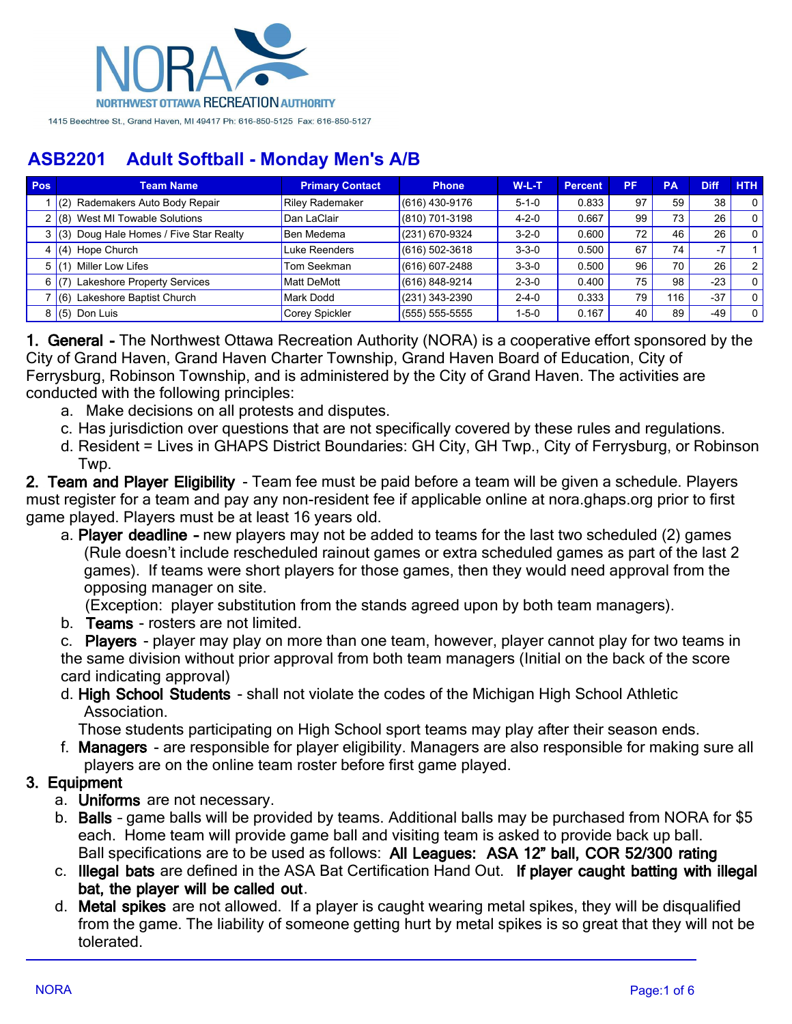

| <b>Pos</b> | <b>Team Name</b>                         | <b>Primary Contact</b> | <b>Phone</b>       | $W-L-T$     | <b>Percent</b> | <b>PF</b> | <b>PA</b> | <b>Diff</b> | <b>HTH</b>     |
|------------|------------------------------------------|------------------------|--------------------|-------------|----------------|-----------|-----------|-------------|----------------|
|            | Rademakers Auto Body Repair<br>(2)       | <b>Riley Rademaker</b> | $(616)$ 430-9176   | $5 - 1 - 0$ | 0.833          | 97        | 59        | 38          |                |
|            | $2$ (8) West MI Towable Solutions        | Dan LaClair            | $(810)$ 701-3198   | $4 - 2 - 0$ | 0.667          | 99        | 73        | 26          | $\Omega$       |
|            | 3 (3) Doug Hale Homes / Five Star Realty | Ben Medema             | (231) 670-9324     | $3 - 2 - 0$ | 0.600          | 72        | 46        | 26          |                |
| 4          | $(4)$ Hope Church                        | Luke Reenders          | $(616) 502 - 3618$ | $3 - 3 - 0$ | 0.500          | 67        | 74        | $-7$        |                |
| 5          | Miller Low Lifes                         | Tom Seekman            | $(616) 607 - 2488$ | $3 - 3 - 0$ | 0.500          | 96        | 70        | 26          | 21             |
| 6          | Lakeshore Property Services              | <b>Matt DeMott</b>     | $(616) 848 - 9214$ | $2 - 3 - 0$ | 0.400          | 75        | 98        | $-23$       |                |
|            | Lakeshore Baptist Church<br>(6)          | <b>Mark Dodd</b>       | $(231)$ 343-2390   | $2 - 4 - 0$ | 0.333          | 79        | 116       | $-37$       |                |
| 8          | $(5)$ Don Luis                           | Corey Spickler         | $(555) 555-5555$   | $1 - 5 - 0$ | 0.167          | 40        | 89        | -49         | 0 <sub>1</sub> |

**1. General -** The Northwest Ottawa Recreation Authority (NORA) is a cooperative effort sponsored by the City of Grand Haven, Grand Haven Charter Township, Grand Haven Board of Education, City of Ferrysburg, Robinson Township, and is administered by the City of Grand Haven. The activities are conducted with the following principles:

- a. Make decisions on all protests and disputes.
- c. Has jurisdiction over questions that are not specifically covered by these rules and regulations.
- d. Resident = Lives in GHAPS District Boundaries: GH City, GH Twp., City of Ferrysburg, or Robinson Twp.

**2. Team and Player Eligibility** - Team fee must be paid before a team will be given a schedule. Players must register for a team and pay any non-resident fee if applicable online at nora.ghaps.org prior to first game played. Players must be at least 16 years old.

a. **Player deadline –** new players may not be added to teams for the last two scheduled (2) games (Rule doesn't include rescheduled rainout games or extra scheduled games as part of the last 2 games). If teams were short players for those games, then they would need approval from the opposing manager on site.

(Exception: player substitution from the stands agreed upon by both team managers).

b. **Teams** - rosters are not limited.

c. **Players** - player may play on more than one team, however, player cannot play for two teams in the same division without prior approval from both team managers (Initial on the back of the score card indicating approval)

d. **High School Students** - shall not violate the codes of the Michigan High School Athletic Association.

Those students participating on High School sport teams may play after their season ends.

f. **Managers** - are responsible for player eligibility. Managers are also responsible for making sure all players are on the online team roster before first game played.

### **3. Equipment**

- a. **Uniforms** are not necessary.
- b. **Balls** game balls will be provided by teams. Additional balls may be purchased from NORA for \$5 each. Home team will provide game ball and visiting team is asked to provide back up ball. Ball specifications are to be used as follows: **All Leagues: ASA 12" ball, COR 52/300 rating**
- c. **Illegal bats** are defined in the ASA Bat Certification Hand Out. **If player caught batting with illegal bat, the player will be called out**.
- d. **Metal spikes** are not allowed. If a player is caught wearing metal spikes, they will be disqualified from the game. The liability of someone getting hurt by metal spikes is so great that they will not be tolerated.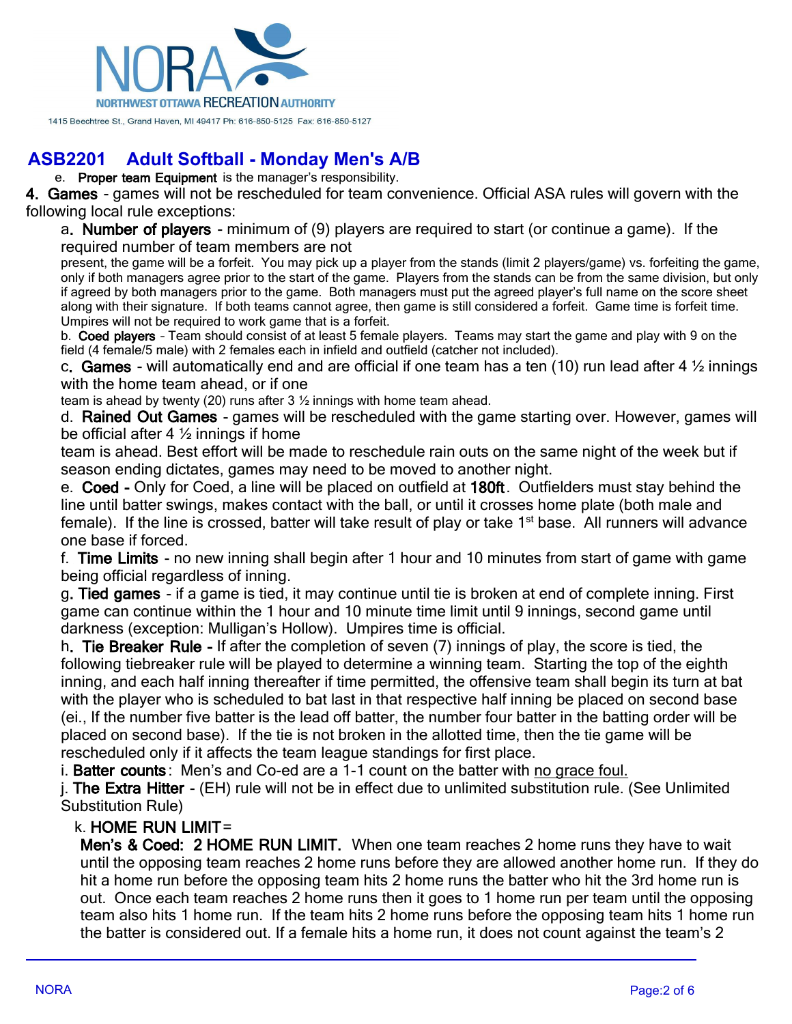

e. **Proper team Equipment** is the manager's responsibility.

**4. Games** - games will not be rescheduled for team convenience. Official ASA rules will govern with the following local rule exceptions:

a**. Number of players** - minimum of (9) players are required to start (or continue a game). If the required number of team members are not

present, the game will be a forfeit. You may pick up a player from the stands (limit 2 players/game) vs. forfeiting the game, only if both managers agree prior to the start of the game. Players from the stands can be from the same division, but only if agreed by both managers prior to the game. Both managers must put the agreed player's full name on the score sheet along with their signature. If both teams cannot agree, then game is still considered a forfeit. Game time is forfeit time. Umpires will not be required to work game that is a forfeit.

b. **Coed players** – Team should consist of at least 5 female players. Teams may start the game and play with 9 on the field (4 female/5 male) with 2 females each in infield and outfield (catcher not included).

c**. Games** - will automatically end and are official if one team has a ten (10) run lead after 4 ½ innings with the home team ahead, or if one

team is ahead by twenty (20) runs after 3 ½ innings with home team ahead.

d. **Rained Out Games** - games will be rescheduled with the game starting over. However, games will be official after 4 ½ innings if home

team is ahead. Best effort will be made to reschedule rain outs on the same night of the week but if season ending dictates, games may need to be moved to another night.

e. **Coed -** Only for Coed, a line will be placed on outfield at **180ft**. Outfielders must stay behind the line until batter swings, makes contact with the ball, or until it crosses home plate (both male and female). If the line is crossed, batter will take result of play or take 1<sup>st</sup> base. All runners will advance one base if forced.

f. **Time Limits** - no new inning shall begin after 1 hour and 10 minutes from start of game with game being official regardless of inning.

g**. Tied games** - if a game is tied, it may continue until tie is broken at end of complete inning. First game can continue within the 1 hour and 10 minute time limit until 9 innings, second game until darkness (exception: Mulligan's Hollow). Umpires time is official.

h**. Tie Breaker Rule -** If after the completion of seven (7) innings of play, the score is tied, the following tiebreaker rule will be played to determine a winning team. Starting the top of the eighth inning, and each half inning thereafter if time permitted, the offensive team shall begin its turn at bat with the player who is scheduled to bat last in that respective half inning be placed on second base (ei., If the number five batter is the lead off batter, the number four batter in the batting order will be placed on second base). If the tie is not broken in the allotted time, then the tie game will be rescheduled only if it affects the team league standings for first place.

i. **Batter counts** : Men's and Co-ed are a 1-1 count on the batter with no grace foul.

j. **The Extra Hitter** - (EH) rule will not be in effect due to unlimited substitution rule. (See Unlimited Substitution Rule)

#### k. **HOME RUN LIMIT**=

**Men's & Coed: 2 HOME RUN LIMIT.** When one team reaches 2 home runs they have to wait until the opposing team reaches 2 home runs before they are allowed another home run. If they do hit a home run before the opposing team hits 2 home runs the batter who hit the 3rd home run is out. Once each team reaches 2 home runs then it goes to 1 home run per team until the opposing team also hits 1 home run. If the team hits 2 home runs before the opposing team hits 1 home run the batter is considered out. If a female hits a home run, it does not count against the team's 2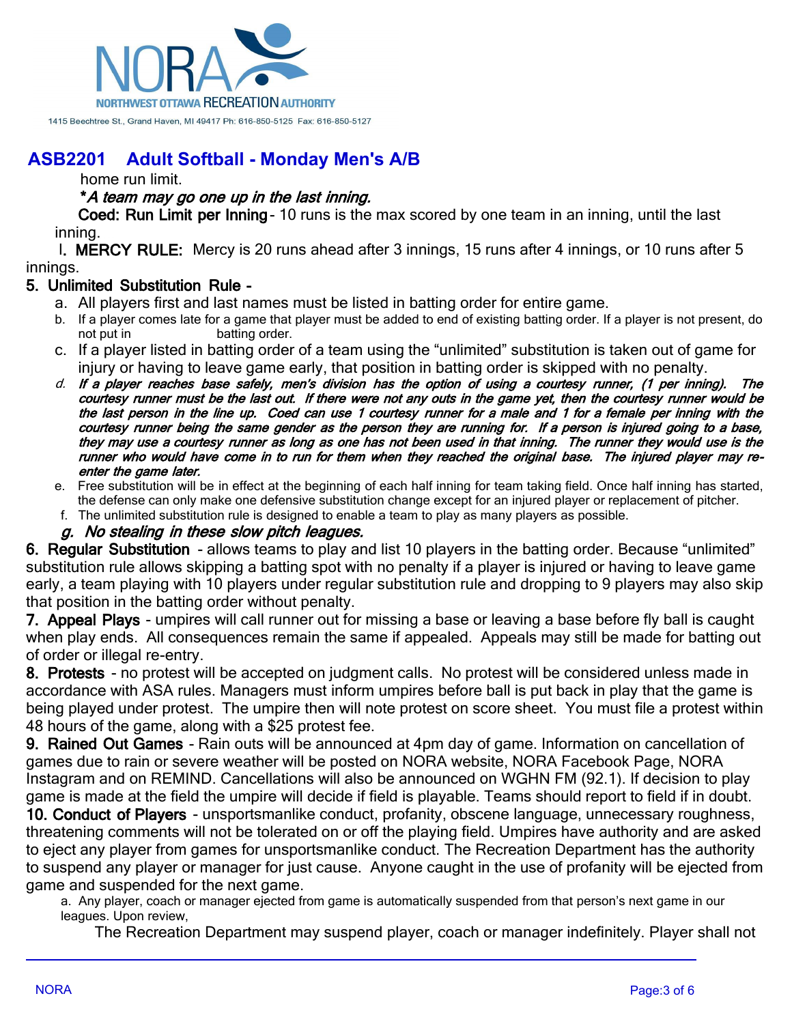

home run limit.

#### **\****A team may go one up in the last inning.*

**Coed: Run Limit per Inning**- 10 runs is the max scored by one team in an inning, until the last inning.

l**. MERCY RULE:** Mercy is 20 runs ahead after 3 innings, 15 runs after 4 innings, or 10 runs after 5 innings.

#### **5. Unlimited Substitution Rule -**

- a. All players first and last names must be listed in batting order for entire game.
- b. If a player comes late for a game that player must be added to end of existing batting order. If a player is not present, do not put in batting order.
- c. If a player listed in batting order of a team using the "unlimited" substitution is taken out of game for injury or having to leave game early, that position in batting order is skipped with no penalty.
- *d. If a player reaches base safely, men's division has the option of using a courtesy runner, (1 per inning). The courtesy runner must be the last out. If there were not any outs in the game yet, then the courtesy runner would be the last person in the line up. Coed can use 1 courtesy runner for a male and 1 for a female per inning with the courtesy runner being the same gender as the person they are running for. If a person is injured going to a base, they may use a courtesy runner as long as one has not been used in that inning. The runner they would use is the runner who would have come in to run for them when they reached the original base. The injured player may reenter the game later.*
- e. Free substitution will be in effect at the beginning of each half inning for team taking field. Once half inning has started, the defense can only make one defensive substitution change except for an injured player or replacement of pitcher.
- f. The unlimited substitution rule is designed to enable a team to play as many players as possible.

#### *g. No stealing in these slow pitch leagues.*

**6. Regular Substitution** - allows teams to play and list 10 players in the batting order. Because "unlimited" substitution rule allows skipping a batting spot with no penalty if a player is injured or having to leave game early, a team playing with 10 players under regular substitution rule and dropping to 9 players may also skip that position in the batting order without penalty.

**7. Appeal Plays** - umpires will call runner out for missing a base or leaving a base before fly ball is caught when play ends. All consequences remain the same if appealed. Appeals may still be made for batting out of order or illegal re-entry.

**8. Protests** - no protest will be accepted on judgment calls. No protest will be considered unless made in accordance with ASA rules. Managers must inform umpires before ball is put back in play that the game is being played under protest. The umpire then will note protest on score sheet. You must file a protest within 48 hours of the game, along with a \$25 protest fee.

**9. Rained Out Games** - Rain outs will be announced at 4pm day of game. Information on cancellation of games due to rain or severe weather will be posted on NORA website, NORA Facebook Page, NORA Instagram and on REMIND. Cancellations will also be announced on WGHN FM (92.1). If decision to play game is made at the field the umpire will decide if field is playable. Teams should report to field if in doubt.

**10. Conduct of Players** - unsportsmanlike conduct, profanity, obscene language, unnecessary roughness, threatening comments will not be tolerated on or off the playing field. Umpires have authority and are asked to eject any player from games for unsportsmanlike conduct. The Recreation Department has the authority to suspend any player or manager for just cause. Anyone caught in the use of profanity will be ejected from game and suspended for the next game.

a. Any player, coach or manager ejected from game is automatically suspended from that person's next game in our leagues. Upon review,

The Recreation Department may suspend player, coach or manager indefinitely. Player shall not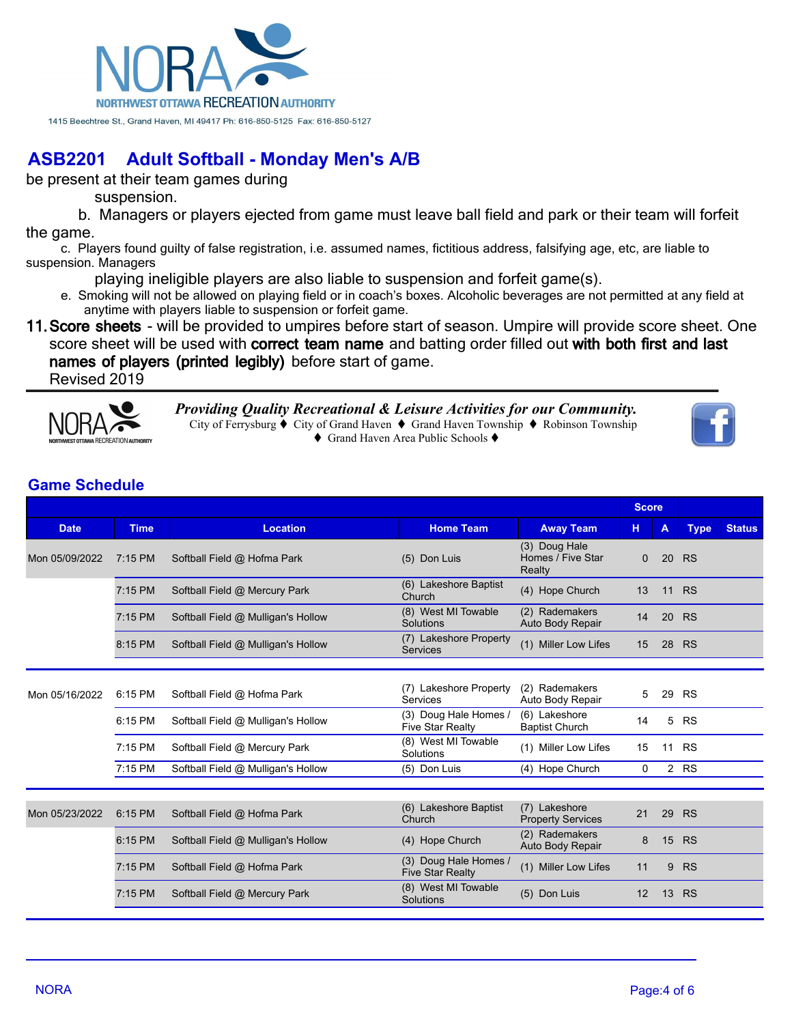

be present at their team games during

suspension.

 b. Managers or players ejected from game must leave ball field and park or their team will forfeit the game.

c. Players found guilty of false registration, i.e. assumed names, fictitious address, falsifying age, etc, are liable to suspension. Managers

playing ineligible players are also liable to suspension and forfeit game(s).

e. Smoking will not be allowed on playing field or in coach's boxes. Alcoholic beverages are not permitted at any field at anytime with players liable to suspension or forfeit game.

**11.Score sheets** - will be provided to umpires before start of season. Umpire will provide score sheet. One score sheet will be used with **correct team name** and batting order filled out **with both first and last names of players (printed legibly)** before start of game.

Revised 2019



*Providing Quality Recreational & Leisure Activities for our Community.* City of Ferrysburg  $\blacklozenge$  City of Grand Haven  $\blacklozenge$  Grand Haven Township  $\blacklozenge$  Robinson Township ◆ Grand Haven Area Public Schools ◆



|                |             |                                    |                                                  |                                              |              | <b>Score</b> |             |               |
|----------------|-------------|------------------------------------|--------------------------------------------------|----------------------------------------------|--------------|--------------|-------------|---------------|
| <b>Date</b>    | <b>Time</b> | <b>Location</b>                    | <b>Home Team</b>                                 | <b>Away Team</b>                             | н            | A            | <b>Type</b> | <b>Status</b> |
| Mon 05/09/2022 | 7:15 PM     | Softball Field @ Hofma Park        | (5) Don Luis                                     | (3) Doug Hale<br>Homes / Five Star<br>Realty | $\mathbf{0}$ | 20           | <b>RS</b>   |               |
|                | 7:15 PM     | Softball Field @ Mercury Park      | (6) Lakeshore Baptist<br>Church                  | (4) Hope Church                              | 13           | 11           | <b>RS</b>   |               |
|                | $7:15$ PM   | Softball Field @ Mulligan's Hollow | (8) West MI Towable<br>Solutions                 | (2) Rademakers<br>Auto Body Repair           | 14           | 20           | <b>RS</b>   |               |
|                | 8:15 PM     | Softball Field @ Mulligan's Hollow | (7) Lakeshore Property<br><b>Services</b>        | (1) Miller Low Lifes                         | 15           | 28           | <b>RS</b>   |               |
|                |             |                                    |                                                  |                                              |              |              |             |               |
| Mon 05/16/2022 | 6:15 PM     | Softball Field @ Hofma Park        | (7) Lakeshore Property<br>Services               | (2) Rademakers<br>Auto Body Repair           | 5            | 29           | <b>RS</b>   |               |
|                | 6:15 PM     | Softball Field @ Mulligan's Hollow | (3) Doug Hale Homes /<br><b>Five Star Realty</b> | (6) Lakeshore<br><b>Baptist Church</b>       | 14           | 5            | <b>RS</b>   |               |
|                | $7:15$ PM   | Softball Field @ Mercury Park      | (8) West MI Towable<br>Solutions                 | (1) Miller Low Lifes                         | 15           | 11           | <b>RS</b>   |               |
|                | 7:15 PM     | Softball Field @ Mulligan's Hollow | (5) Don Luis                                     | (4) Hope Church                              | $\Omega$     |              | 2 RS        |               |
|                |             |                                    |                                                  |                                              |              |              |             |               |
| Mon 05/23/2022 | 6:15 PM     | Softball Field @ Hofma Park        | (6) Lakeshore Baptist<br>Church                  | (7) Lakeshore<br><b>Property Services</b>    | 21           | 29           | <b>RS</b>   |               |
|                | 6:15 PM     | Softball Field @ Mulligan's Hollow | (4) Hope Church                                  | (2) Rademakers<br>Auto Body Repair           | 8            | 15           | <b>RS</b>   |               |
|                | 7:15 PM     | Softball Field @ Hofma Park        | (3) Doug Hale Homes<br><b>Five Star Realty</b>   | (1) Miller Low Lifes                         | 11           | 9            | <b>RS</b>   |               |
|                | 7:15 PM     | Softball Field @ Mercury Park      | (8) West MI Towable<br>Solutions                 | (5) Don Luis                                 | 12           | 13           | <b>RS</b>   |               |
|                |             |                                    |                                                  |                                              |              |              |             |               |

### **Game Schedule**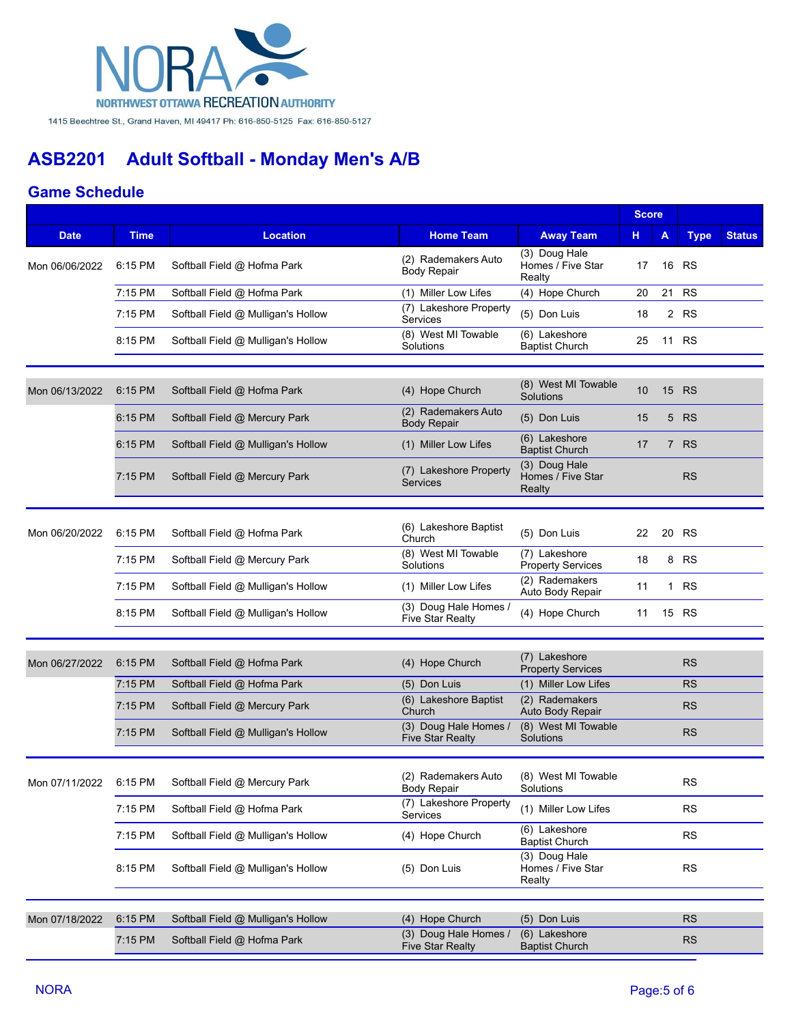

#### **Game Schedule**

|                |             |                                    |                                                  |                                              | <b>Score</b> |                |             |               |
|----------------|-------------|------------------------------------|--------------------------------------------------|----------------------------------------------|--------------|----------------|-------------|---------------|
| <b>Date</b>    | <b>Time</b> | <b>Location</b>                    | <b>Home Team</b>                                 | <b>Away Team</b>                             | н            | A              | <b>Type</b> | <b>Status</b> |
| Mon 06/06/2022 | 6:15 PM     | Softball Field @ Hofma Park        | (2) Rademakers Auto<br><b>Body Repair</b>        | (3) Doug Hale<br>Homes / Five Star<br>Realty | 17           | 16             | <b>RS</b>   |               |
|                | 7:15 PM     | Softball Field @ Hofma Park        | (1) Miller Low Lifes                             | (4) Hope Church                              | 20           | 21             | <b>RS</b>   |               |
|                | 7:15 PM     | Softball Field @ Mulligan's Hollow | (7) Lakeshore Property<br><b>Services</b>        | (5) Don Luis                                 | 18           |                | 2 RS        |               |
|                | 8:15 PM     | Softball Field @ Mulligan's Hollow | (8) West MI Towable<br>Solutions                 | (6) Lakeshore<br><b>Baptist Church</b>       | 25           |                | 11 RS       |               |
|                |             |                                    |                                                  |                                              |              |                |             |               |
| Mon 06/13/2022 | 6:15 PM     | Softball Field @ Hofma Park        | (4) Hope Church                                  | (8) West MI Towable<br>Solutions             | 10           | 15             | <b>RS</b>   |               |
|                | 6:15 PM     | Softball Field @ Mercury Park      | (2) Rademakers Auto<br><b>Body Repair</b>        | (5) Don Luis                                 | 15           | 5              | <b>RS</b>   |               |
|                | 6:15 PM     | Softball Field @ Mulligan's Hollow | (1) Miller Low Lifes                             | (6) Lakeshore<br><b>Baptist Church</b>       | 17           | $\overline{7}$ | <b>RS</b>   |               |
|                | 7:15 PM     | Softball Field @ Mercury Park      | (7) Lakeshore Property<br>Services               | (3) Doug Hale<br>Homes / Five Star<br>Realty |              |                | <b>RS</b>   |               |
|                |             |                                    |                                                  |                                              |              |                |             |               |
| Mon 06/20/2022 | 6:15 PM     | Softball Field @ Hofma Park        | (6) Lakeshore Baptist<br>Church                  | (5) Don Luis                                 | 22           | 20             | <b>RS</b>   |               |
|                | 7:15 PM     | Softball Field @ Mercury Park      | (8) West MI Towable<br>Solutions                 | (7) Lakeshore<br><b>Property Services</b>    | 18           | 8              | <b>RS</b>   |               |
|                | 7:15 PM     | Softball Field @ Mulligan's Hollow | (1) Miller Low Lifes                             | (2) Rademakers<br>Auto Body Repair           | 11           |                | 1 RS        |               |
|                | 8:15 PM     | Softball Field @ Mulligan's Hollow | (3) Doug Hale Homes /<br><b>Five Star Realty</b> | (4) Hope Church                              | 11           |                | 15 RS       |               |
|                |             |                                    |                                                  |                                              |              |                |             |               |
| Mon 06/27/2022 | 6:15 PM     | Softball Field @ Hofma Park        | (4) Hope Church                                  | (7) Lakeshore<br><b>Property Services</b>    |              |                | <b>RS</b>   |               |
|                | 7:15 PM     | Softball Field @ Hofma Park        | (5) Don Luis                                     | (1) Miller Low Lifes                         |              |                | <b>RS</b>   |               |
|                | 7:15 PM     | Softball Field @ Mercury Park      | (6) Lakeshore Baptist<br>Church                  | (2) Rademakers<br>Auto Body Repair           |              |                | <b>RS</b>   |               |
|                | 7:15 PM     | Softball Field @ Mulligan's Hollow | (3) Doug Hale Homes /<br><b>Five Star Realty</b> | (8) West MI Towable<br>Solutions             |              |                | <b>RS</b>   |               |
|                |             |                                    |                                                  |                                              |              |                |             |               |
| Mon 07/11/2022 | 6:15 PM     | Softball Field @ Mercury Park      | (2) Rademakers Auto<br>Body Repair               | (8) West MI Towable<br>Solutions             |              |                | <b>RS</b>   |               |
|                | 7:15 PM     | Softball Field @ Hofma Park        | (7) Lakeshore Property<br>Services               | (1) Miller Low Lifes                         |              |                | <b>RS</b>   |               |
|                | 7:15 PM     | Softball Field @ Mulligan's Hollow | (4) Hope Church                                  | (6) Lakeshore<br><b>Baptist Church</b>       |              |                | <b>RS</b>   |               |
|                | 8:15 PM     | Softball Field @ Mulligan's Hollow | (5) Don Luis                                     | (3) Doug Hale<br>Homes / Five Star<br>Realty |              |                | <b>RS</b>   |               |
|                |             |                                    |                                                  |                                              |              |                |             |               |
| Mon 07/18/2022 | 6:15 PM     | Softball Field @ Mulligan's Hollow | (4) Hope Church                                  | (5) Don Luis                                 |              |                | <b>RS</b>   |               |
|                | 7:15 PM     | Softball Field @ Hofma Park        | (3) Doug Hale Homes /<br><b>Five Star Realty</b> | (6) Lakeshore<br><b>Baptist Church</b>       |              |                | <b>RS</b>   |               |